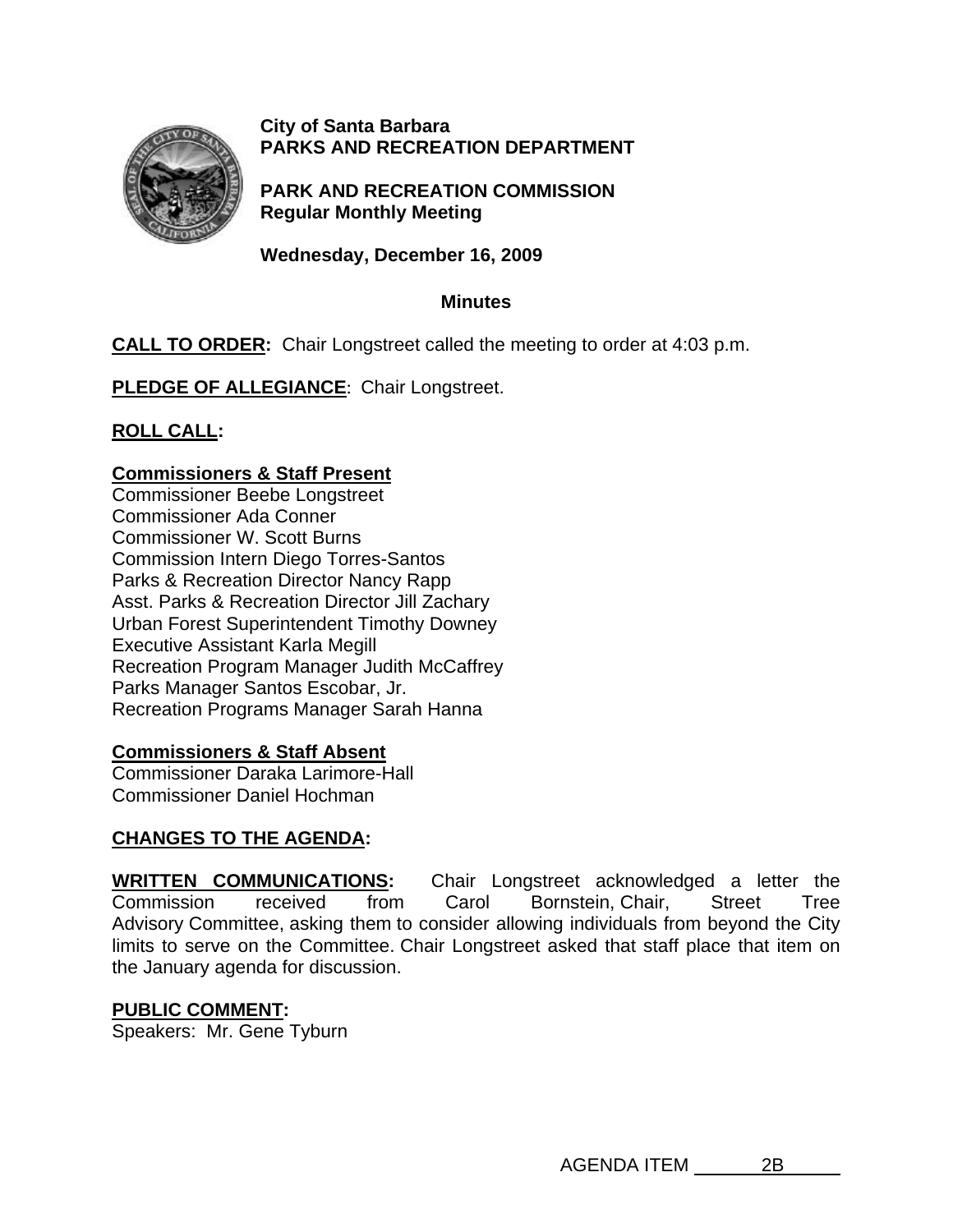

### **City of Santa Barbara PARKS AND RECREATION DEPARTMENT**

**PARK AND RECREATION COMMISSION Regular Monthly Meeting** 

**Wednesday, December 16, 2009** 

### **Minutes**

# **CALL TO ORDER:** Chair Longstreet called the meeting to order at 4:03 p.m.

**PLEDGE OF ALLEGIANCE:** Chair Longstreet.

**ROLL CALL:** 

### **Commissioners & Staff Present**

Commissioner Beebe Longstreet Commissioner Ada Conner Commissioner W. Scott Burns Commission Intern Diego Torres-Santos Parks & Recreation Director Nancy Rapp Asst. Parks & Recreation Director Jill Zachary Urban Forest Superintendent Timothy Downey Executive Assistant Karla Megill Recreation Program Manager Judith McCaffrey Parks Manager Santos Escobar, Jr. Recreation Programs Manager Sarah Hanna

### **Commissioners & Staff Absent**

Commissioner Daraka Larimore-Hall Commissioner Daniel Hochman

### **CHANGES TO THE AGENDA:**

**WRITTEN COMMUNICATIONS:** Chair Longstreet acknowledged a letter the Commission received from Carol Bornstein, Chair, Street Tree Advisory Committee, asking them to consider allowing individuals from beyond the City limits to serve on the Committee. Chair Longstreet asked that staff place that item on the January agenda for discussion.

### **PUBLIC COMMENT:**

Speakers: Mr. Gene Tyburn

AGENDA ITEM 2B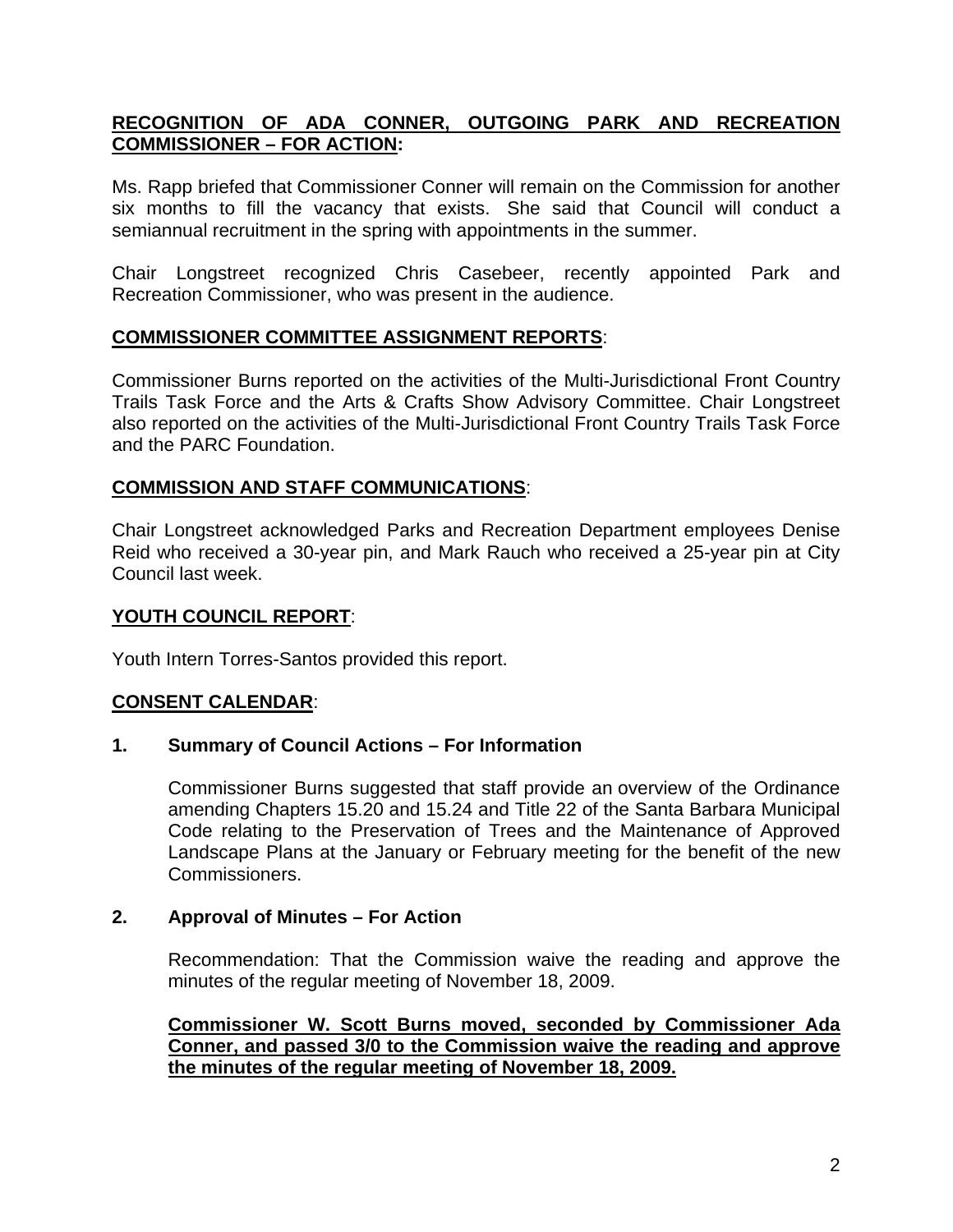### **RECOGNITION OF ADA CONNER, OUTGOING PARK AND RECREATION COMMISSIONER – FOR ACTION:**

Ms. Rapp briefed that Commissioner Conner will remain on the Commission for another six months to fill the vacancy that exists. She said that Council will conduct a semiannual recruitment in the spring with appointments in the summer.

Chair Longstreet recognized Chris Casebeer, recently appointed Park and Recreation Commissioner, who was present in the audience.

### **COMMISSIONER COMMITTEE ASSIGNMENT REPORTS**:

Commissioner Burns reported on the activities of the Multi-Jurisdictional Front Country Trails Task Force and the Arts & Crafts Show Advisory Committee. Chair Longstreet also reported on the activities of the Multi-Jurisdictional Front Country Trails Task Force and the PARC Foundation.

### **COMMISSION AND STAFF COMMUNICATIONS**:

Chair Longstreet acknowledged Parks and Recreation Department employees Denise Reid who received a 30-year pin, and Mark Rauch who received a 25-year pin at City Council last week.

## **YOUTH COUNCIL REPORT**:

Youth Intern Torres-Santos provided this report.

### **CONSENT CALENDAR**:

### **1. Summary of Council Actions – For Information**

Commissioner Burns suggested that staff provide an overview of the Ordinance amending Chapters 15.20 and 15.24 and Title 22 of the Santa Barbara Municipal Code relating to the Preservation of Trees and the Maintenance of Approved Landscape Plans at the January or February meeting for the benefit of the new Commissioners.

### **2. Approval of Minutes – For Action**

 Recommendation: That the Commission waive the reading and approve the minutes of the regular meeting of November 18, 2009.

**Commissioner W. Scott Burns moved, seconded by Commissioner Ada Conner, and passed 3/0 to the Commission waive the reading and approve the minutes of the regular meeting of November 18, 2009.**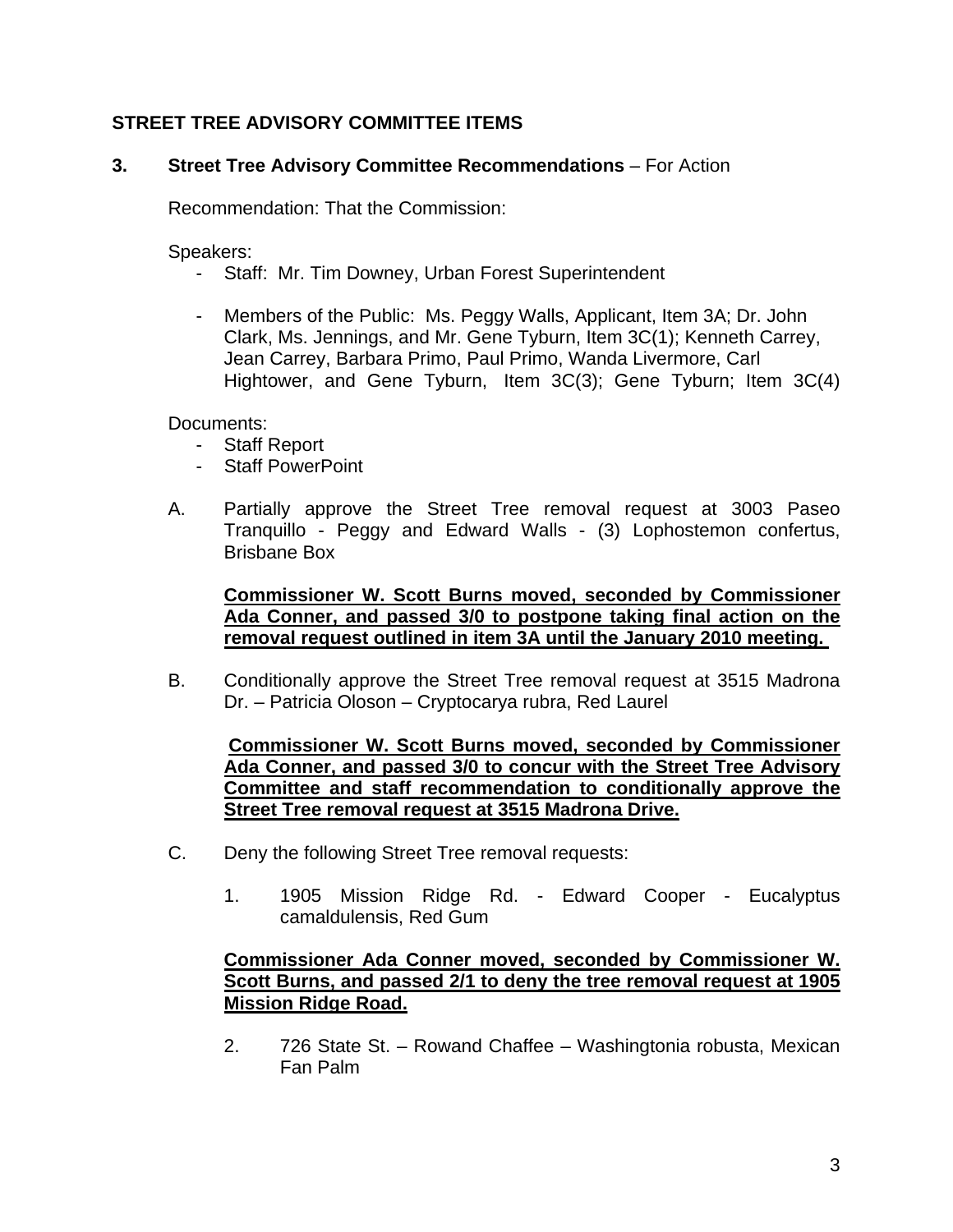## **STREET TREE ADVISORY COMMITTEE ITEMS**

### **3. Street Tree Advisory Committee Recommendations** – For Action

Recommendation: That the Commission:

Speakers:

- Staff: Mr. Tim Downey, Urban Forest Superintendent
- Members of the Public: Ms. Peggy Walls, Applicant, Item 3A; Dr. John Clark, Ms. Jennings, and Mr. Gene Tyburn, Item 3C(1); Kenneth Carrey, Jean Carrey, Barbara Primo, Paul Primo, Wanda Livermore, Carl Hightower, and Gene Tyburn, Item 3C(3); Gene Tyburn; Item 3C(4)

Documents:

- Staff Report
- Staff PowerPoint
- A. Partially approve the Street Tree removal request at 3003 Paseo Tranquillo - Peggy and Edward Walls - (3) Lophostemon confertus, Brisbane Box

**Commissioner W. Scott Burns moved, seconded by Commissioner Ada Conner, and passed 3/0 to postpone taking final action on the removal request outlined in item 3A until the January 2010 meeting.** 

B. Conditionally approve the Street Tree removal request at 3515 Madrona Dr. – Patricia Oloson – Cryptocarya rubra, Red Laurel

**Commissioner W. Scott Burns moved, seconded by Commissioner Ada Conner, and passed 3/0 to concur with the Street Tree Advisory Committee and staff recommendation to conditionally approve the Street Tree removal request at 3515 Madrona Drive.**

- C. Deny the following Street Tree removal requests:
	- 1. 1905 Mission Ridge Rd. Edward Cooper Eucalyptus camaldulensis, Red Gum

### **Commissioner Ada Conner moved, seconded by Commissioner W. Scott Burns, and passed 2/1 to deny the tree removal request at 1905 Mission Ridge Road.**

2. 726 State St. – Rowand Chaffee – Washingtonia robusta, Mexican Fan Palm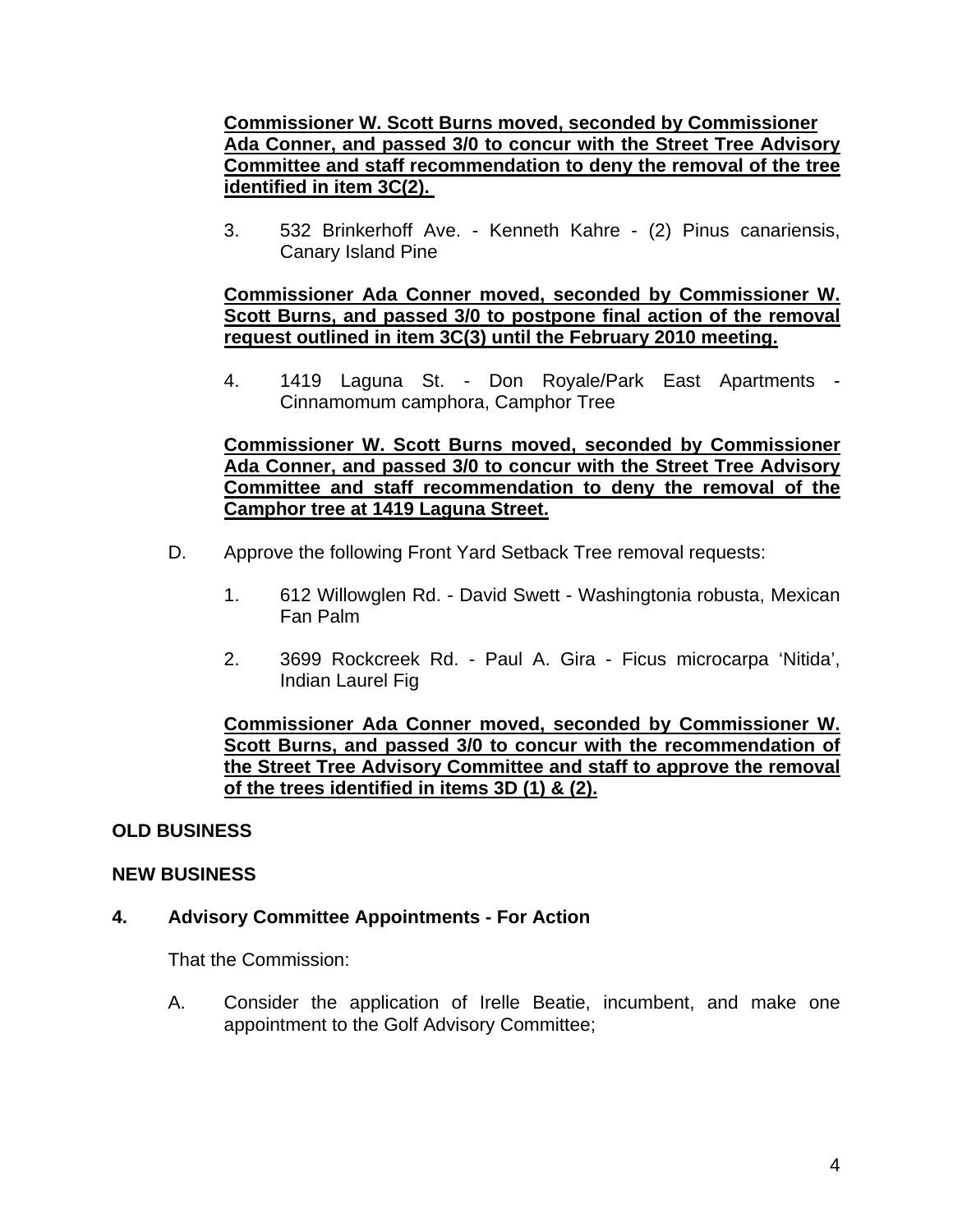### **Commissioner W. Scott Burns moved, seconded by Commissioner Ada Conner, and passed 3/0 to concur with the Street Tree Advisory Committee and staff recommendation to deny the removal of the tree identified in item 3C(2).**

3. 532 Brinkerhoff Ave. - Kenneth Kahre - (2) Pinus canariensis, Canary Island Pine

### **Commissioner Ada Conner moved, seconded by Commissioner W. Scott Burns, and passed 3/0 to postpone final action of the removal request outlined in item 3C(3) until the February 2010 meeting.**

4. 1419 Laguna St. - Don Royale/Park East Apartments - Cinnamomum camphora, Camphor Tree

**Commissioner W. Scott Burns moved, seconded by Commissioner Ada Conner, and passed 3/0 to concur with the Street Tree Advisory Committee and staff recommendation to deny the removal of the Camphor tree at 1419 Laguna Street.**

- D.Approve the following Front Yard Setback Tree removal requests:
	- 1. 612 Willowglen Rd. David Swett Washingtonia robusta, Mexican Fan Palm
	- 2. 3699 Rockcreek Rd. Paul A. Gira Ficus microcarpa 'Nitida', Indian Laurel Fig

### **Commissioner Ada Conner moved, seconded by Commissioner W. Scott Burns, and passed 3/0 to concur with the recommendation of the Street Tree Advisory Committee and staff to approve the removal of the trees identified in items 3D (1) & (2).**

## **OLD BUSINESS**

### **NEW BUSINESS**

## **4. Advisory Committee Appointments - For Action**

That the Commission:

A. Consider the application of Irelle Beatie, incumbent, and make one appointment to the Golf Advisory Committee;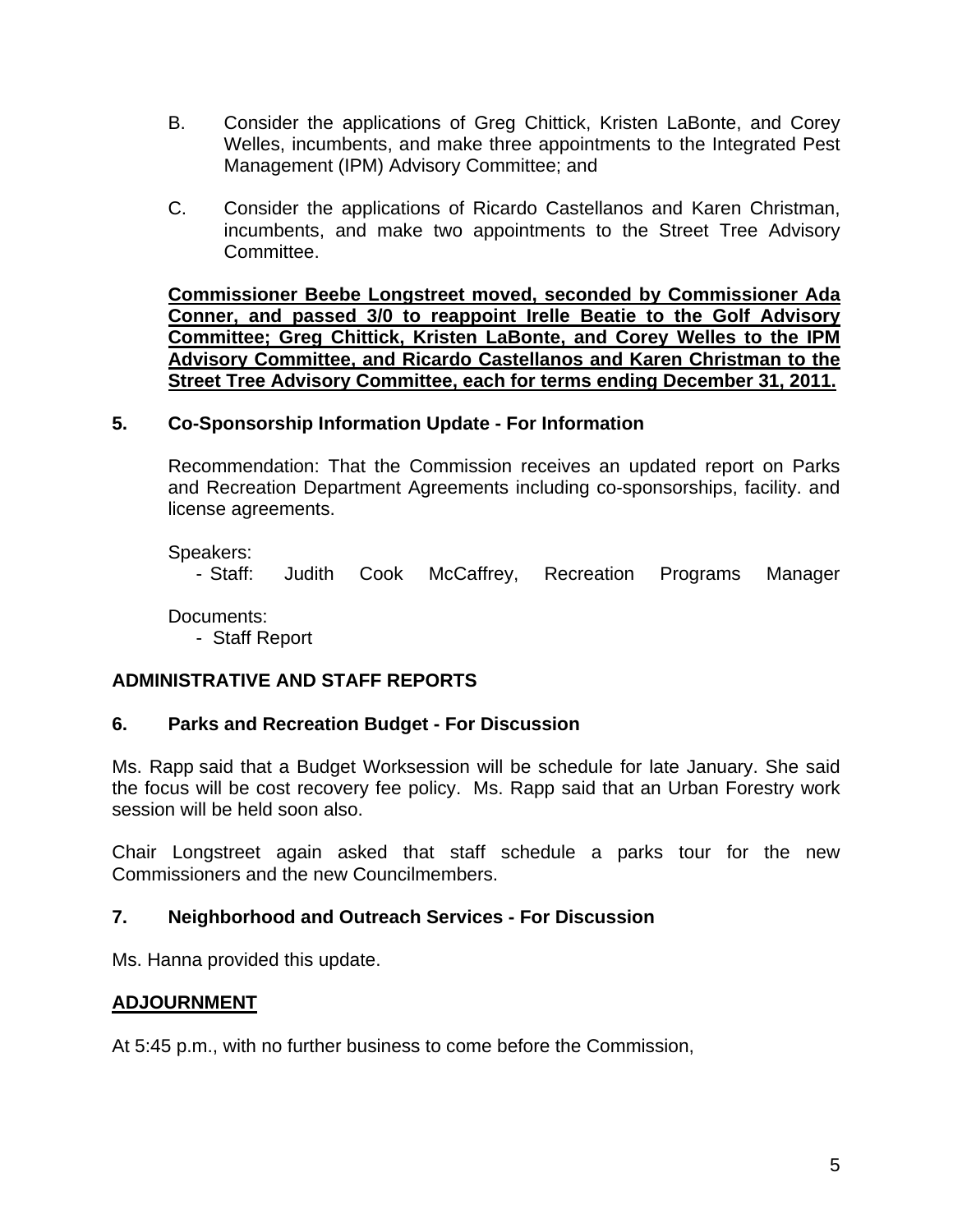- B. Consider the applications of Greg Chittick, Kristen LaBonte, and Corey Welles, incumbents, and make three appointments to the Integrated Pest Management (IPM) Advisory Committee; and
- C. Consider the applications of Ricardo Castellanos and Karen Christman, incumbents, and make two appointments to the Street Tree Advisory Committee.

**Commissioner Beebe Longstreet moved, seconded by Commissioner Ada Conner, and passed 3/0 to reappoint Irelle Beatie to the Golf Advisory Committee; Greg Chittick, Kristen LaBonte, and Corey Welles to the IPM Advisory Committee, and Ricardo Castellanos and Karen Christman to the Street Tree Advisory Committee, each for terms ending December 31, 2011.** 

### **5. Co-Sponsorship Information Update - For Information**

Recommendation: That the Commission receives an updated report on Parks and Recreation Department Agreements including co-sponsorships, facility. and license agreements.

Speakers:

- Staff: Judith Cook McCaffrey, Recreation Programs Manager

Documents:

- Staff Report

## **ADMINISTRATIVE AND STAFF REPORTS**

### **6. Parks and Recreation Budget - For Discussion**

Ms. Rapp said that a Budget Worksession will be schedule for late January. She said the focus will be cost recovery fee policy. Ms. Rapp said that an Urban Forestry work session will be held soon also.

Chair Longstreet again asked that staff schedule a parks tour for the new Commissioners and the new Councilmembers.

### **7. Neighborhood and Outreach Services - For Discussion**

Ms. Hanna provided this update.

### **ADJOURNMENT**

At 5:45 p.m., with no further business to come before the Commission,